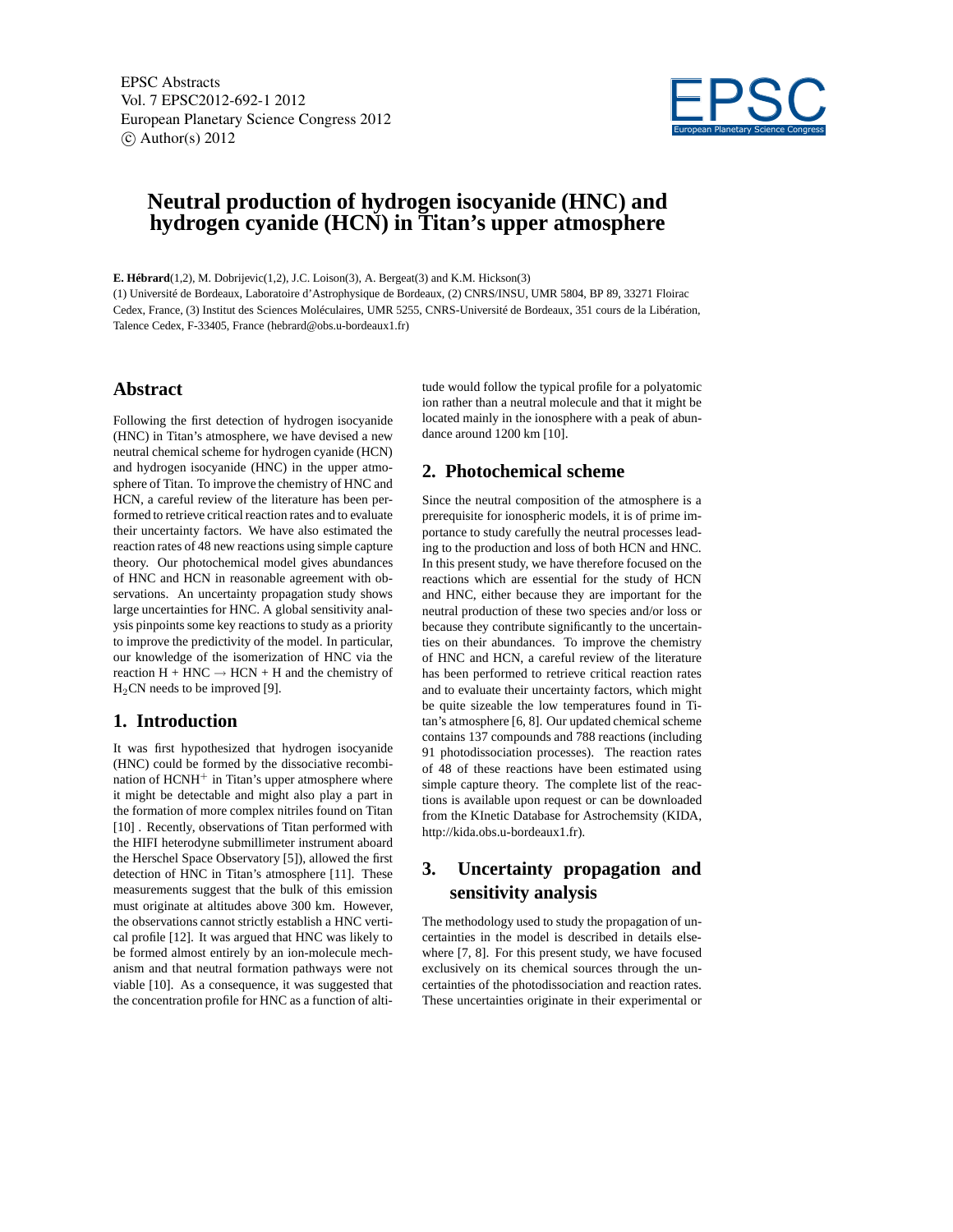EPSC Abstracts Vol. 7 EPSC2012-692-1 2012 European Planetary Science Congress 2012  $\circ$  Author(s) 2012



# **Neutral production of hydrogen isocyanide (HNC) and hydrogen cyanide (HCN) in Titan's upper atmosphere**

**E. Hébrard**(1,2), M. Dobrijevic(1,2), J.C. Loison(3), A. Bergeat(3) and K.M. Hickson(3)

(1) Université de Bordeaux, Laboratoire d'Astrophysique de Bordeaux, (2) CNRS/INSU, UMR 5804, BP 89, 33271 Floirac Cedex, France, (3) Institut des Sciences Moléculaires, UMR 5255, CNRS-Université de Bordeaux, 351 cours de la Libération, Talence Cedex, F-33405, France (hebrard@obs.u-bordeaux1.fr)

## **Abstract**

Following the first detection of hydrogen isocyanide (HNC) in Titan's atmosphere, we have devised a new neutral chemical scheme for hydrogen cyanide (HCN) and hydrogen isocyanide (HNC) in the upper atmosphere of Titan. To improve the chemistry of HNC and HCN, a careful review of the literature has been performed to retrieve critical reaction rates and to evaluate their uncertainty factors. We have also estimated the reaction rates of 48 new reactions using simple capture theory. Our photochemical model gives abundances of HNC and HCN in reasonable agreement with observations. An uncertainty propagation study shows large uncertainties for HNC. A global sensitivity analysis pinpoints some key reactions to study as a priority to improve the predictivity of the model. In particular, our knowledge of the isomerization of HNC via the reaction  $H + HNC \rightarrow HCN + H$  and the chemistry of  $H<sub>2</sub>CN$  needs to be improved [9].

#### **1. Introduction**

It was first hypothesized that hydrogen isocyanide (HNC) could be formed by the dissociative recombination of  $HCNH<sup>+</sup>$  in Titan's upper atmosphere where it might be detectable and might also play a part in the formation of more complex nitriles found on Titan [10] . Recently, observations of Titan performed with the HIFI heterodyne submillimeter instrument aboard the Herschel Space Observatory [5]), allowed the first detection of HNC in Titan's atmosphere [11]. These measurements suggest that the bulk of this emission must originate at altitudes above 300 km. However, the observations cannot strictly establish a HNC vertical profile [12]. It was argued that HNC was likely to be formed almost entirely by an ion-molecule mechanism and that neutral formation pathways were not viable [10]. As a consequence, it was suggested that the concentration profile for HNC as a function of altitude would follow the typical profile for a polyatomic ion rather than a neutral molecule and that it might be located mainly in the ionosphere with a peak of abundance around 1200 km [10].

## **2. Photochemical scheme**

Since the neutral composition of the atmosphere is a prerequisite for ionospheric models, it is of prime importance to study carefully the neutral processes leading to the production and loss of both HCN and HNC. In this present study, we have therefore focused on the reactions which are essential for the study of HCN and HNC, either because they are important for the neutral production of these two species and/or loss or because they contribute significantly to the uncertainties on their abundances. To improve the chemistry of HNC and HCN, a careful review of the literature has been performed to retrieve critical reaction rates and to evaluate their uncertainty factors, which might be quite sizeable the low temperatures found in Titan's atmosphere [6, 8]. Our updated chemical scheme contains 137 compounds and 788 reactions (including 91 photodissociation processes). The reaction rates of 48 of these reactions have been estimated using simple capture theory. The complete list of the reactions is available upon request or can be downloaded from the KInetic Database for Astrochemsity (KIDA, http://kida.obs.u-bordeaux1.fr).

# **3. Uncertainty propagation and sensitivity analysis**

The methodology used to study the propagation of uncertainties in the model is described in details elsewhere [7, 8]. For this present study, we have focused exclusively on its chemical sources through the uncertainties of the photodissociation and reaction rates. These uncertainties originate in their experimental or